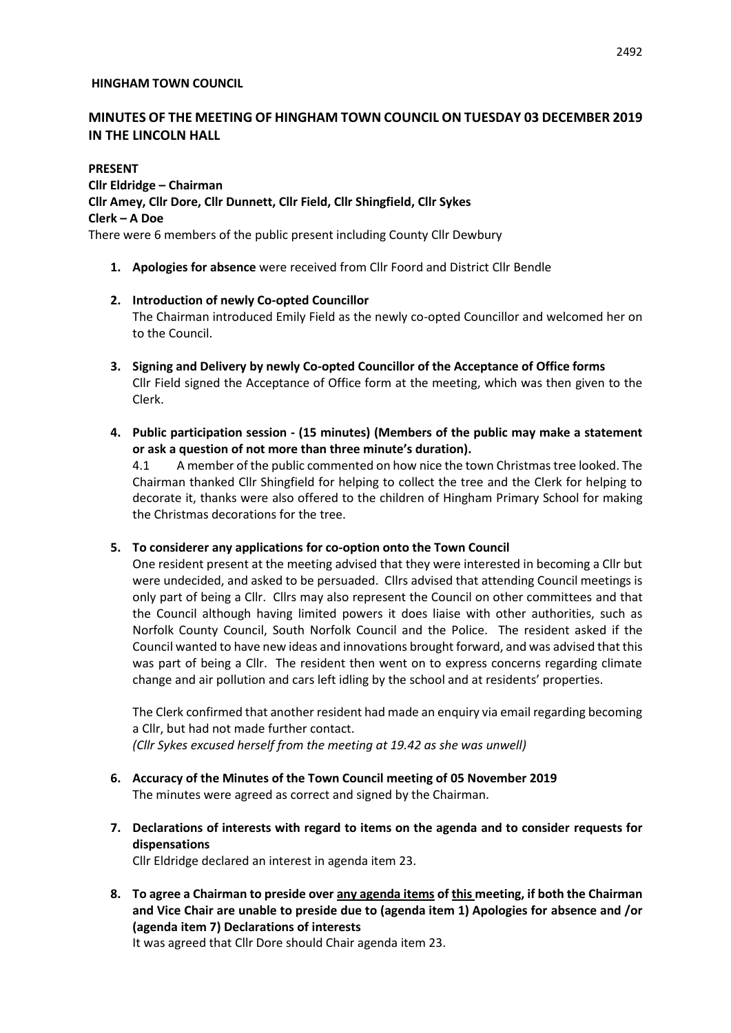### **HINGHAM TOWN COUNCIL**

# **MINUTES OF THE MEETING OF HINGHAM TOWN COUNCIL ON TUESDAY 03 DECEMBER 2019 IN THE LINCOLN HALL**

**PRESENT Cllr Eldridge – Chairman Cllr Amey, Cllr Dore, Cllr Dunnett, Cllr Field, Cllr Shingfield, Cllr Sykes Clerk – A Doe** There were 6 members of the public present including County Cllr Dewbury

- **1. Apologies for absence** were received from Cllr Foord and District Cllr Bendle
- **2. Introduction of newly Co-opted Councillor** The Chairman introduced Emily Field as the newly co-opted Councillor and welcomed her on to the Council.
- **3. Signing and Delivery by newly Co-opted Councillor of the Acceptance of Office forms** Cllr Field signed the Acceptance of Office form at the meeting, which was then given to the Clerk.
- **4. Public participation session - (15 minutes) (Members of the public may make a statement or ask a question of not more than three minute's duration).**

4.1 A member of the public commented on how nice the town Christmas tree looked. The Chairman thanked Cllr Shingfield for helping to collect the tree and the Clerk for helping to decorate it, thanks were also offered to the children of Hingham Primary School for making the Christmas decorations for the tree.

**5. To considerer any applications for co-option onto the Town Council**

One resident present at the meeting advised that they were interested in becoming a Cllr but were undecided, and asked to be persuaded. Cllrs advised that attending Council meetings is only part of being a Cllr. Cllrs may also represent the Council on other committees and that the Council although having limited powers it does liaise with other authorities, such as Norfolk County Council, South Norfolk Council and the Police. The resident asked if the Council wanted to have new ideas and innovations brought forward, and was advised that this was part of being a Cllr. The resident then went on to express concerns regarding climate change and air pollution and cars left idling by the school and at residents' properties.

The Clerk confirmed that another resident had made an enquiry via email regarding becoming a Cllr, but had not made further contact.

*(Cllr Sykes excused herself from the meeting at 19.42 as she was unwell)*

- **6. Accuracy of the Minutes of the Town Council meeting of 05 November 2019** The minutes were agreed as correct and signed by the Chairman.
- **7. Declarations of interests with regard to items on the agenda and to consider requests for dispensations**

Cllr Eldridge declared an interest in agenda item 23.

**8. To agree a Chairman to preside over any agenda items of this meeting, if both the Chairman and Vice Chair are unable to preside due to (agenda item 1) Apologies for absence and /or (agenda item 7) Declarations of interests**

It was agreed that Cllr Dore should Chair agenda item 23.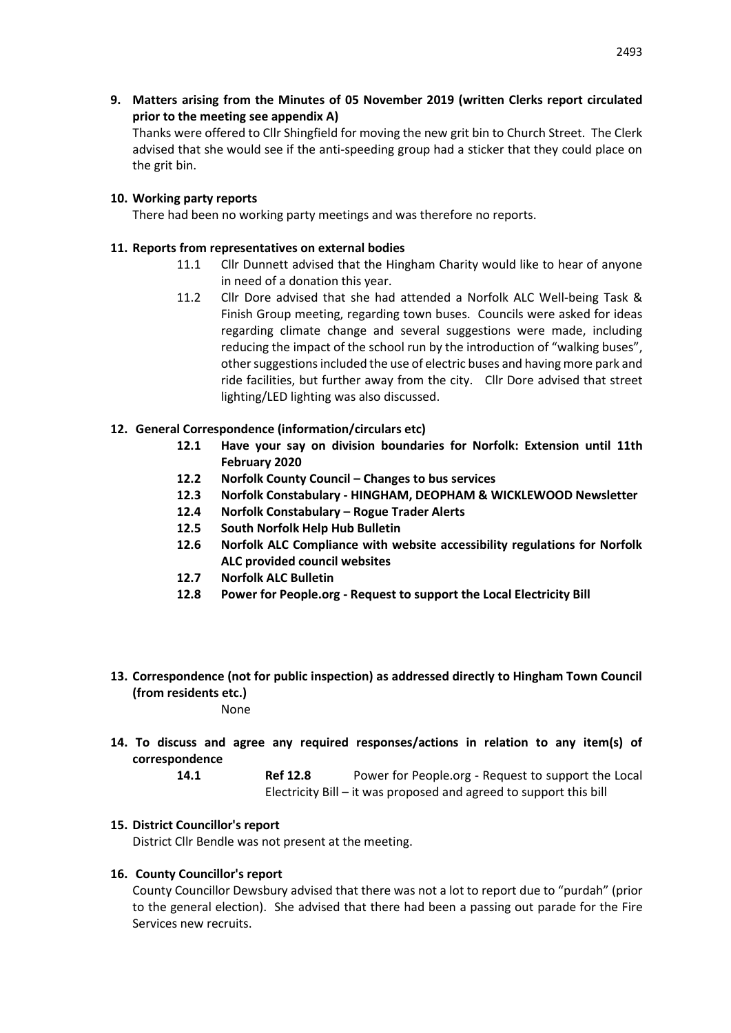**9. Matters arising from the Minutes of 05 November 2019 (written Clerks report circulated prior to the meeting see appendix A)**

Thanks were offered to Cllr Shingfield for moving the new grit bin to Church Street. The Clerk advised that she would see if the anti-speeding group had a sticker that they could place on the grit bin.

## **10. Working party reports**

There had been no working party meetings and was therefore no reports.

## **11. Reports from representatives on external bodies**

- 11.1 Cllr Dunnett advised that the Hingham Charity would like to hear of anyone in need of a donation this year.
- 11.2 Cllr Dore advised that she had attended a Norfolk ALC Well-being Task & Finish Group meeting, regarding town buses. Councils were asked for ideas regarding climate change and several suggestions were made, including reducing the impact of the school run by the introduction of "walking buses", other suggestions included the use of electric buses and having more park and ride facilities, but further away from the city. Cllr Dore advised that street lighting/LED lighting was also discussed.

# **12. General Correspondence (information/circulars etc)**

- **12.1 Have your say on division boundaries for Norfolk: Extension until 11th February 2020**
- **12.2 Norfolk County Council – Changes to bus services**
- **12.3 Norfolk Constabulary - HINGHAM, DEOPHAM & WICKLEWOOD Newsletter**
- **12.4 Norfolk Constabulary – Rogue Trader Alerts**
- **12.5 South Norfolk Help Hub Bulletin**
- **12.6 Norfolk ALC Compliance with website accessibility regulations for Norfolk ALC provided council websites**
- **12.7 Norfolk ALC Bulletin**
- **12.8 Power for People.org - Request to support the Local Electricity Bill**

# **13. Correspondence (not for public inspection) as addressed directly to Hingham Town Council (from residents etc.)**

None

**14. To discuss and agree any required responses/actions in relation to any item(s) of correspondence** 

> **14.1 Ref 12.8** Power for People.org - Request to support the Local Electricity Bill – it was proposed and agreed to support this bill

# **15. District Councillor's report**

District Cllr Bendle was not present at the meeting.

## **16. County Councillor's report**

County Councillor Dewsbury advised that there was not a lot to report due to "purdah" (prior to the general election). She advised that there had been a passing out parade for the Fire Services new recruits.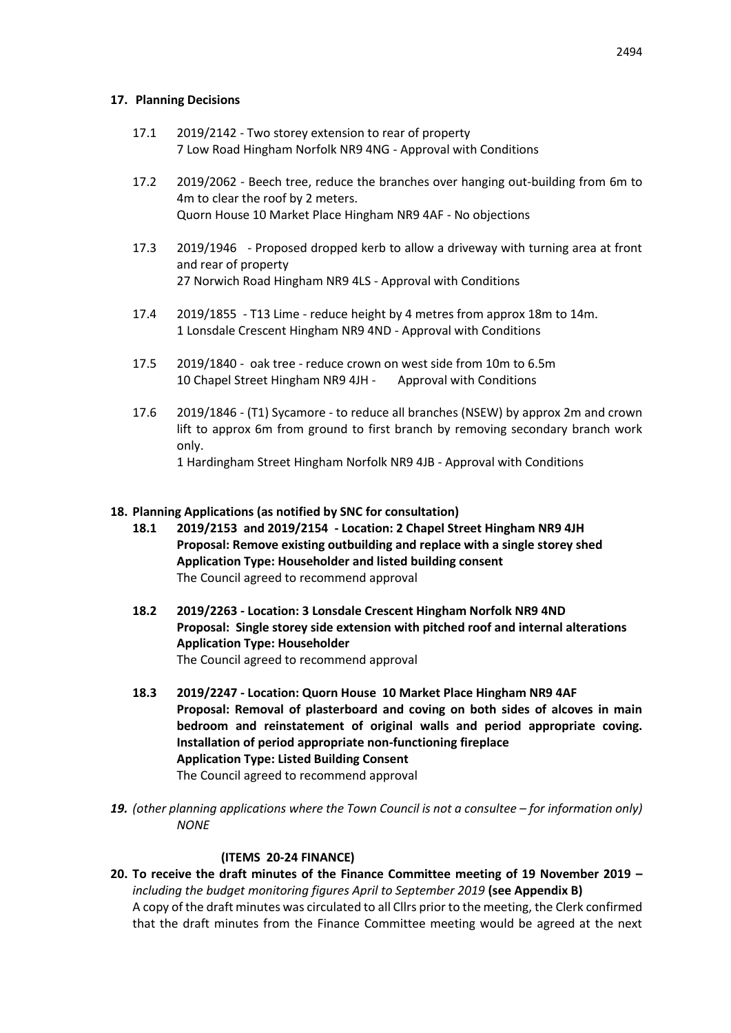## **17. Planning Decisions**

- 17.1 2019/2142 Two storey extension to rear of property 7 Low Road Hingham Norfolk NR9 4NG - Approval with Conditions
- 17.2 2019/2062 Beech tree, reduce the branches over hanging out-building from 6m to 4m to clear the roof by 2 meters. Quorn House 10 Market Place Hingham NR9 4AF - No objections
- 17.3 2019/1946 Proposed dropped kerb to allow a driveway with turning area at front and rear of property 27 Norwich Road Hingham NR9 4LS - Approval with Conditions
- 17.4 2019/1855 T13 Lime reduce height by 4 metres from approx 18m to 14m. 1 Lonsdale Crescent Hingham NR9 4ND - Approval with Conditions
- 17.5 2019/1840 oak tree reduce crown on west side from 10m to 6.5m 10 Chapel Street Hingham NR9 4JH - Approval with Conditions
- 17.6 2019/1846 (T1) Sycamore to reduce all branches (NSEW) by approx 2m and crown lift to approx 6m from ground to first branch by removing secondary branch work only. 1 Hardingham Street Hingham Norfolk NR9 4JB - Approval with Conditions

## **18. Planning Applications (as notified by SNC for consultation)**

- **18.1 2019/2153 and 2019/2154 - Location: 2 Chapel Street Hingham NR9 4JH Proposal: Remove existing outbuilding and replace with a single storey shed Application Type: Householder and listed building consent** The Council agreed to recommend approval
- **18.2 2019/2263 - Location: 3 Lonsdale Crescent Hingham Norfolk NR9 4ND Proposal: Single storey side extension with pitched roof and internal alterations Application Type: Householder** The Council agreed to recommend approval
- **18.3 2019/2247 - Location: Quorn House 10 Market Place Hingham NR9 4AF Proposal: Removal of plasterboard and coving on both sides of alcoves in main bedroom and reinstatement of original walls and period appropriate coving. Installation of period appropriate non-functioning fireplace Application Type: Listed Building Consent** The Council agreed to recommend approval
- 19. *(other planning applications where the Town Council is not a consultee for information only) NONE*

#### **(ITEMS 20-24 FINANCE)**

**20. To receive the draft minutes of the Finance Committee meeting of 19 November 2019 –** *including the budget monitoring figures April to September 2019* **(see Appendix B)** A copy of the draft minutes was circulated to all Cllrs prior to the meeting, the Clerk confirmed that the draft minutes from the Finance Committee meeting would be agreed at the next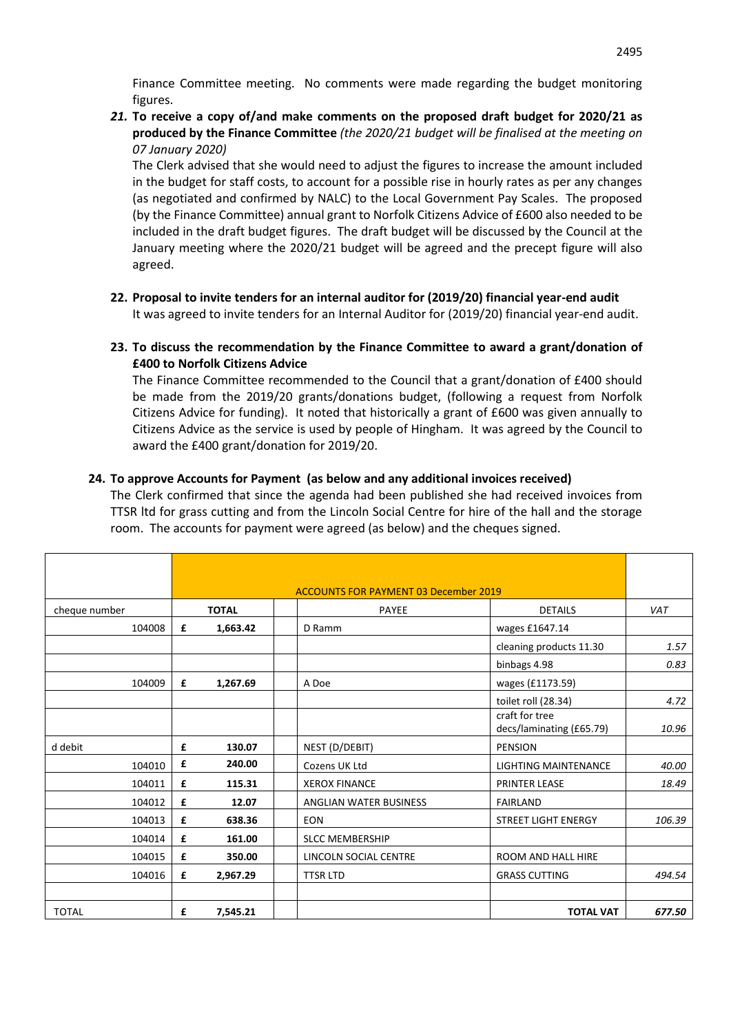Finance Committee meeting. No comments were made regarding the budget monitoring figures.

*21.* **To receive a copy of/and make comments on the proposed draft budget for 2020/21 as produced by the Finance Committee** *(the 2020/21 budget will be finalised at the meeting on 07 January 2020)*

The Clerk advised that she would need to adjust the figures to increase the amount included in the budget for staff costs, to account for a possible rise in hourly rates as per any changes (as negotiated and confirmed by NALC) to the Local Government Pay Scales. The proposed (by the Finance Committee) annual grant to Norfolk Citizens Advice of £600 also needed to be included in the draft budget figures. The draft budget will be discussed by the Council at the January meeting where the 2020/21 budget will be agreed and the precept figure will also agreed.

- **22. Proposal to invite tenders for an internal auditor for (2019/20) financial year-end audit**  It was agreed to invite tenders for an Internal Auditor for (2019/20) financial year-end audit.
- **23. To discuss the recommendation by the Finance Committee to award a grant/donation of £400 to Norfolk Citizens Advice**

The Finance Committee recommended to the Council that a grant/donation of £400 should be made from the 2019/20 grants/donations budget, (following a request from Norfolk Citizens Advice for funding). It noted that historically a grant of £600 was given annually to Citizens Advice as the service is used by people of Hingham. It was agreed by the Council to award the £400 grant/donation for 2019/20.

# **24. To approve Accounts for Payment (as below and any additional invoices received)**

The Clerk confirmed that since the agenda had been published she had received invoices from TTSR ltd for grass cutting and from the Lincoln Social Centre for hire of the hall and the storage room. The accounts for payment were agreed (as below) and the cheques signed.

|               | <b>ACCOUNTS FOR PAYMENT 03 December 2019</b> |              |  |                        |                                            |            |  |
|---------------|----------------------------------------------|--------------|--|------------------------|--------------------------------------------|------------|--|
| cheque number |                                              | <b>TOTAL</b> |  | <b>PAYEE</b>           | <b>DETAILS</b>                             | <b>VAT</b> |  |
| 104008        | £                                            | 1,663.42     |  | D Ramm                 | wages £1647.14                             |            |  |
|               |                                              |              |  |                        | cleaning products 11.30                    | 1.57       |  |
|               |                                              |              |  |                        | binbags 4.98                               | 0.83       |  |
| 104009        | £                                            | 1,267.69     |  | A Doe                  | wages (£1173.59)                           |            |  |
|               |                                              |              |  |                        | toilet roll (28.34)                        | 4.72       |  |
|               |                                              |              |  |                        | craft for tree<br>decs/laminating (£65.79) | 10.96      |  |
| d debit       | £                                            | 130.07       |  | NEST (D/DEBIT)         | <b>PENSION</b>                             |            |  |
| 104010        | £                                            | 240.00       |  | Cozens UK Ltd          | <b>LIGHTING MAINTENANCE</b>                | 40.00      |  |
| 104011        | £                                            | 115.31       |  | <b>XEROX FINANCE</b>   | <b>PRINTER LEASE</b>                       | 18.49      |  |
| 104012        | £                                            | 12.07        |  | ANGLIAN WATER BUSINESS | <b>FAIRLAND</b>                            |            |  |
| 104013        | £                                            | 638.36       |  | <b>EON</b>             | STREET LIGHT ENERGY                        | 106.39     |  |
| 104014        | £                                            | 161.00       |  | <b>SLCC MEMBERSHIP</b> |                                            |            |  |
| 104015        | £                                            | 350.00       |  | LINCOLN SOCIAL CENTRE  | <b>ROOM AND HALL HIRE</b>                  |            |  |
| 104016        | £                                            | 2,967.29     |  | <b>TTSR LTD</b>        | <b>GRASS CUTTING</b>                       | 494.54     |  |
| <b>TOTAL</b>  | £                                            | 7,545.21     |  |                        | <b>TOTAL VAT</b>                           | 677.50     |  |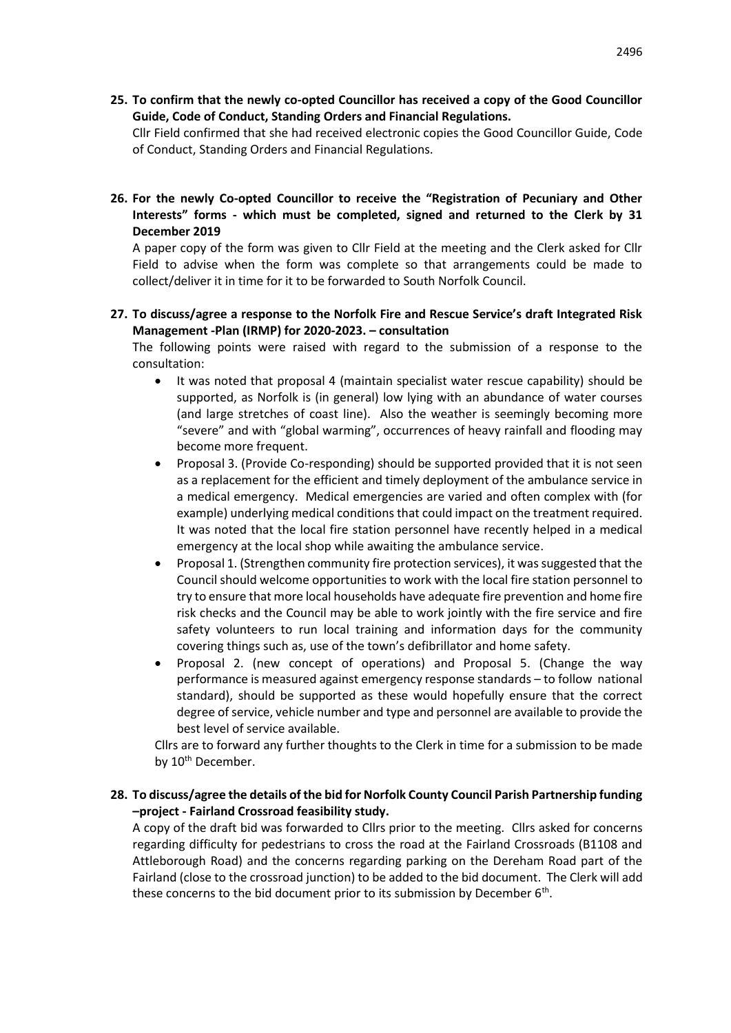**25. To confirm that the newly co-opted Councillor has received a copy of the Good Councillor Guide, Code of Conduct, Standing Orders and Financial Regulations.** 

Cllr Field confirmed that she had received electronic copies the Good Councillor Guide, Code of Conduct, Standing Orders and Financial Regulations.

**26. For the newly Co-opted Councillor to receive the "Registration of Pecuniary and Other Interests" forms - which must be completed, signed and returned to the Clerk by 31 December 2019**

A paper copy of the form was given to Cllr Field at the meeting and the Clerk asked for Cllr Field to advise when the form was complete so that arrangements could be made to collect/deliver it in time for it to be forwarded to South Norfolk Council.

**27. To discuss/agree a response to the Norfolk Fire and Rescue Service's draft Integrated Risk Management -Plan (IRMP) for 2020-2023. – consultation**

The following points were raised with regard to the submission of a response to the consultation:

- It was noted that proposal 4 (maintain specialist water rescue capability) should be supported, as Norfolk is (in general) low lying with an abundance of water courses (and large stretches of coast line). Also the weather is seemingly becoming more "severe" and with "global warming", occurrences of heavy rainfall and flooding may become more frequent.
- Proposal 3. (Provide Co-responding) should be supported provided that it is not seen as a replacement for the efficient and timely deployment of the ambulance service in a medical emergency. Medical emergencies are varied and often complex with (for example) underlying medical conditions that could impact on the treatment required. It was noted that the local fire station personnel have recently helped in a medical emergency at the local shop while awaiting the ambulance service.
- Proposal 1. (Strengthen community fire protection services), it was suggested that the Council should welcome opportunities to work with the local fire station personnel to try to ensure that more local households have adequate fire prevention and home fire risk checks and the Council may be able to work jointly with the fire service and fire safety volunteers to run local training and information days for the community covering things such as, use of the town's defibrillator and home safety.
- Proposal 2. (new concept of operations) and Proposal 5. (Change the way performance is measured against emergency response standards – to follow national standard), should be supported as these would hopefully ensure that the correct degree of service, vehicle number and type and personnel are available to provide the best level of service available.

Cllrs are to forward any further thoughts to the Clerk in time for a submission to be made by 10<sup>th</sup> December.

## **28. To discuss/agree the details of the bid for Norfolk County Council Parish Partnership funding –project - Fairland Crossroad feasibility study.**

A copy of the draft bid was forwarded to Cllrs prior to the meeting. Cllrs asked for concerns regarding difficulty for pedestrians to cross the road at the Fairland Crossroads (B1108 and Attleborough Road) and the concerns regarding parking on the Dereham Road part of the Fairland (close to the crossroad junction) to be added to the bid document. The Clerk will add these concerns to the bid document prior to its submission by December  $6<sup>th</sup>$ .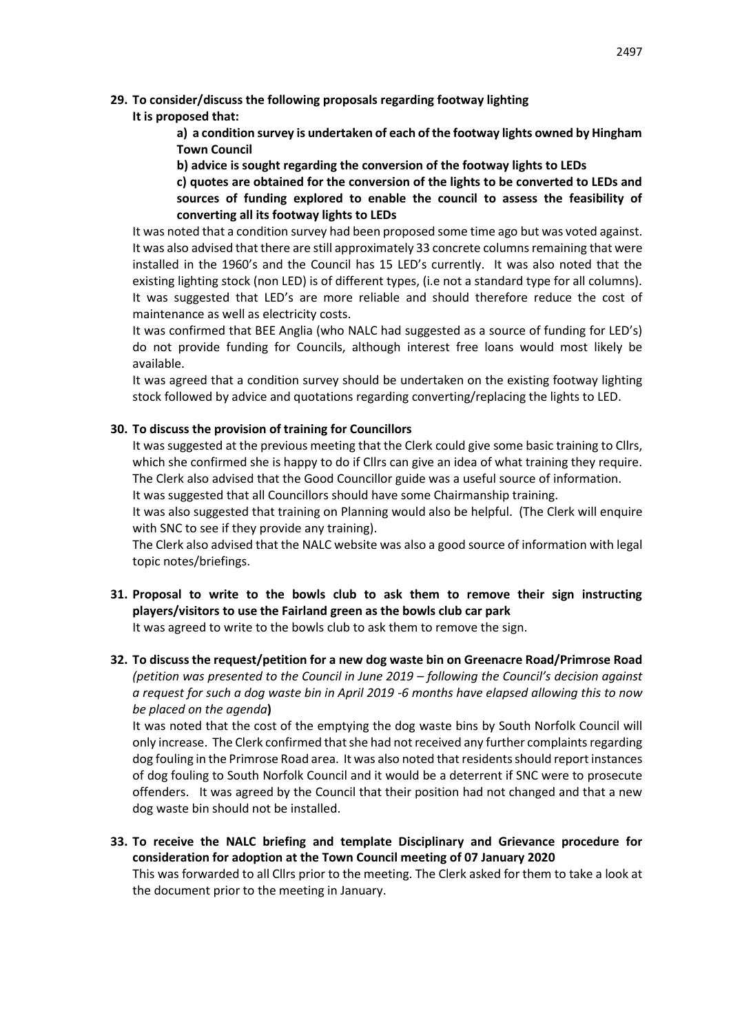**29. To consider/discuss the following proposals regarding footway lighting**

# **It is proposed that:**

**a) a condition survey is undertaken of each of the footway lights owned by Hingham Town Council**

**b) advice is sought regarding the conversion of the footway lights to LEDs**

**c) quotes are obtained for the conversion of the lights to be converted to LEDs and sources of funding explored to enable the council to assess the feasibility of converting all its footway lights to LEDs**

It was noted that a condition survey had been proposed some time ago but was voted against. It was also advised that there are still approximately 33 concrete columns remaining that were installed in the 1960's and the Council has 15 LED's currently. It was also noted that the existing lighting stock (non LED) is of different types, (i.e not a standard type for all columns). It was suggested that LED's are more reliable and should therefore reduce the cost of maintenance as well as electricity costs.

It was confirmed that BEE Anglia (who NALC had suggested as a source of funding for LED's) do not provide funding for Councils, although interest free loans would most likely be available.

It was agreed that a condition survey should be undertaken on the existing footway lighting stock followed by advice and quotations regarding converting/replacing the lights to LED.

# **30. To discuss the provision of training for Councillors**

It was suggested at the previous meeting that the Clerk could give some basic training to Cllrs, which she confirmed she is happy to do if Cllrs can give an idea of what training they require. The Clerk also advised that the Good Councillor guide was a useful source of information. It was suggested that all Councillors should have some Chairmanship training.

It was also suggested that training on Planning would also be helpful. (The Clerk will enquire with SNC to see if they provide any training).

The Clerk also advised that the NALC website was also a good source of information with legal topic notes/briefings.

**31. Proposal to write to the bowls club to ask them to remove their sign instructing players/visitors to use the Fairland green as the bowls club car park**

It was agreed to write to the bowls club to ask them to remove the sign.

**32. To discuss the request/petition for a new dog waste bin on Greenacre Road/Primrose Road**  *(petition was presented to the Council in June 2019 – following the Council's decision against a request for such a dog waste bin in April 2019 -6 months have elapsed allowing this to now be placed on the agenda***)**

It was noted that the cost of the emptying the dog waste bins by South Norfolk Council will only increase. The Clerk confirmed that she had not received any further complaints regarding dog fouling in the Primrose Road area. It was also noted that residents should report instances of dog fouling to South Norfolk Council and it would be a deterrent if SNC were to prosecute offenders. It was agreed by the Council that their position had not changed and that a new dog waste bin should not be installed.

**33. To receive the NALC briefing and template Disciplinary and Grievance procedure for consideration for adoption at the Town Council meeting of 07 January 2020** This was forwarded to all Cllrs prior to the meeting. The Clerk asked for them to take a look at the document prior to the meeting in January.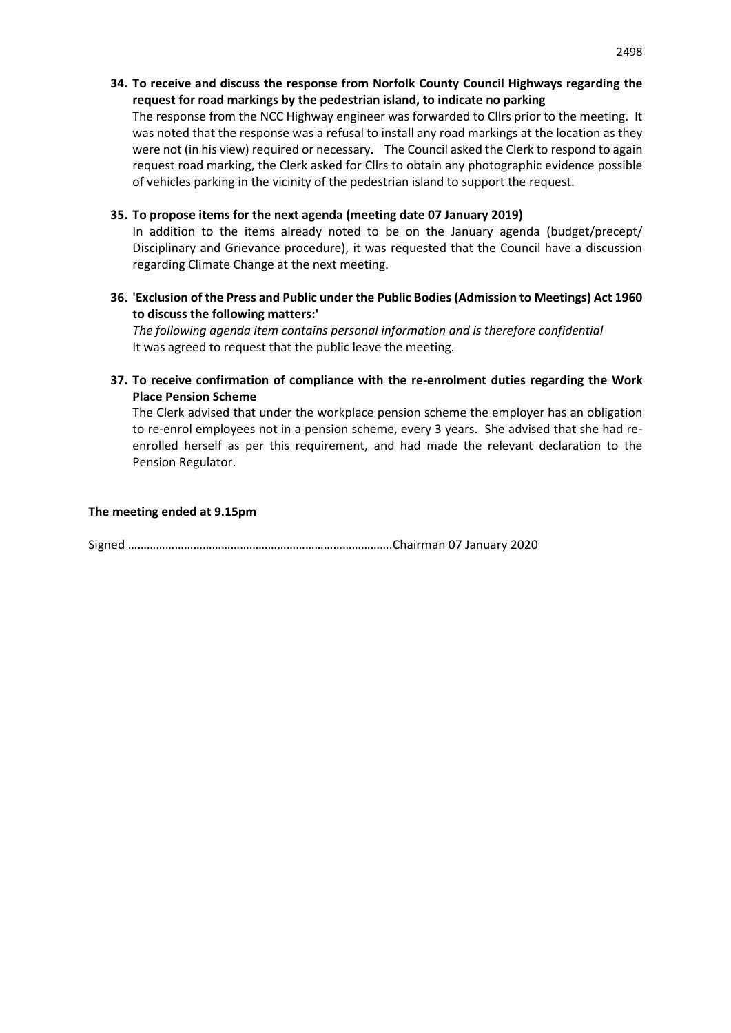**34. To receive and discuss the response from Norfolk County Council Highways regarding the request for road markings by the pedestrian island, to indicate no parking** 

The response from the NCC Highway engineer was forwarded to Cllrs prior to the meeting. It was noted that the response was a refusal to install any road markings at the location as they were not (in his view) required or necessary. The Council asked the Clerk to respond to again request road marking, the Clerk asked for Cllrs to obtain any photographic evidence possible of vehicles parking in the vicinity of the pedestrian island to support the request.

## **35. To propose items for the next agenda (meeting date 07 January 2019)**

In addition to the items already noted to be on the January agenda (budget/precept/ Disciplinary and Grievance procedure), it was requested that the Council have a discussion regarding Climate Change at the next meeting.

**36. 'Exclusion of the Press and Public under the Public Bodies (Admission to Meetings) Act 1960 to discuss the following matters:'** 

*The following agenda item contains personal information and is therefore confidential*  It was agreed to request that the public leave the meeting.

**37. To receive confirmation of compliance with the re-enrolment duties regarding the Work Place Pension Scheme**

The Clerk advised that under the workplace pension scheme the employer has an obligation to re-enrol employees not in a pension scheme, every 3 years. She advised that she had reenrolled herself as per this requirement, and had made the relevant declaration to the Pension Regulator.

## **The meeting ended at 9.15pm**

Signed ………………………………………………………………………….Chairman 07 January 2020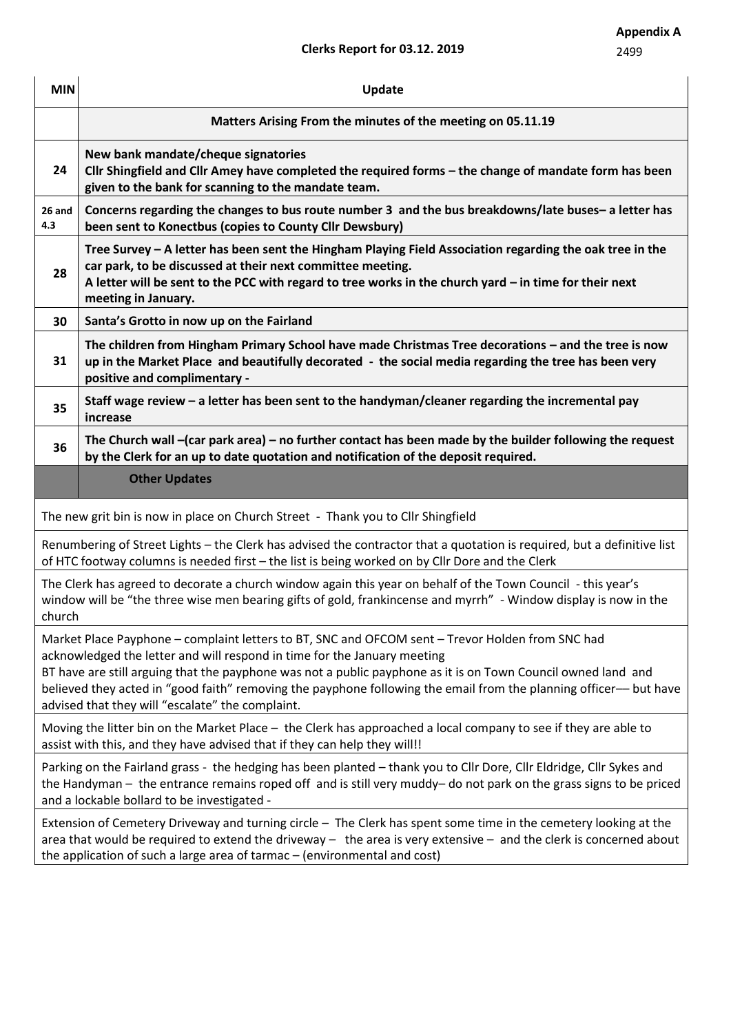# **Clerks Report for 03.12. 2019**

| <b>MIN</b>    | Update                                                                                                                                                                                                                                                                                                                                                                                                                                                                 |  |  |  |  |  |
|---------------|------------------------------------------------------------------------------------------------------------------------------------------------------------------------------------------------------------------------------------------------------------------------------------------------------------------------------------------------------------------------------------------------------------------------------------------------------------------------|--|--|--|--|--|
|               | Matters Arising From the minutes of the meeting on 05.11.19                                                                                                                                                                                                                                                                                                                                                                                                            |  |  |  |  |  |
| 24            | New bank mandate/cheque signatories<br>Cllr Shingfield and Cllr Amey have completed the required forms - the change of mandate form has been<br>given to the bank for scanning to the mandate team.                                                                                                                                                                                                                                                                    |  |  |  |  |  |
| 26 and<br>4.3 | Concerns regarding the changes to bus route number 3 and the bus breakdowns/late buses- a letter has<br>been sent to Konectbus (copies to County Cllr Dewsbury)                                                                                                                                                                                                                                                                                                        |  |  |  |  |  |
| 28            | Tree Survey - A letter has been sent the Hingham Playing Field Association regarding the oak tree in the<br>car park, to be discussed at their next committee meeting.<br>A letter will be sent to the PCC with regard to tree works in the church yard - in time for their next<br>meeting in January.                                                                                                                                                                |  |  |  |  |  |
| 30            | Santa's Grotto in now up on the Fairland                                                                                                                                                                                                                                                                                                                                                                                                                               |  |  |  |  |  |
| 31            | The children from Hingham Primary School have made Christmas Tree decorations - and the tree is now<br>up in the Market Place and beautifully decorated - the social media regarding the tree has been very<br>positive and complimentary -                                                                                                                                                                                                                            |  |  |  |  |  |
| 35            | Staff wage review - a letter has been sent to the handyman/cleaner regarding the incremental pay<br>increase                                                                                                                                                                                                                                                                                                                                                           |  |  |  |  |  |
| 36            | The Church wall -(car park area) - no further contact has been made by the builder following the request<br>by the Clerk for an up to date quotation and notification of the deposit required.                                                                                                                                                                                                                                                                         |  |  |  |  |  |
|               | <b>Other Updates</b>                                                                                                                                                                                                                                                                                                                                                                                                                                                   |  |  |  |  |  |
|               | The new grit bin is now in place on Church Street - Thank you to Cllr Shingfield                                                                                                                                                                                                                                                                                                                                                                                       |  |  |  |  |  |
|               | Renumbering of Street Lights - the Clerk has advised the contractor that a quotation is required, but a definitive list<br>of HTC footway columns is needed first - the list is being worked on by Cllr Dore and the Clerk                                                                                                                                                                                                                                             |  |  |  |  |  |
| church        | The Clerk has agreed to decorate a church window again this year on behalf of the Town Council - this year's<br>window will be "the three wise men bearing gifts of gold, frankincense and myrrh" - Window display is now in the                                                                                                                                                                                                                                       |  |  |  |  |  |
|               | Market Place Payphone – complaint letters to BT, SNC and OFCOM sent – Trevor Holden from SNC had<br>acknowledged the letter and will respond in time for the January meeting<br>BT have are still arguing that the payphone was not a public payphone as it is on Town Council owned land and<br>believed they acted in "good faith" removing the payphone following the email from the planning officer— but have<br>advised that they will "escalate" the complaint. |  |  |  |  |  |
|               | Moving the litter bin on the Market Place - the Clerk has approached a local company to see if they are able to<br>assist with this, and they have advised that if they can help they will!!                                                                                                                                                                                                                                                                           |  |  |  |  |  |
|               | Parking on the Fairland grass - the hedging has been planted - thank you to Cllr Dore, Cllr Eldridge, Cllr Sykes and<br>the Handyman - the entrance remains roped off and is still very muddy- do not park on the grass signs to be priced<br>and a lockable bollard to be investigated -                                                                                                                                                                              |  |  |  |  |  |
|               | Extension of Cemetery Driveway and turning circle - The Clerk has spent some time in the cemetery looking at the<br>area that would be required to extend the driveway $-$ the area is very extensive $-$ and the clerk is concerned about<br>the application of such a large area of tarmac - (environmental and cost)                                                                                                                                                |  |  |  |  |  |
|               |                                                                                                                                                                                                                                                                                                                                                                                                                                                                        |  |  |  |  |  |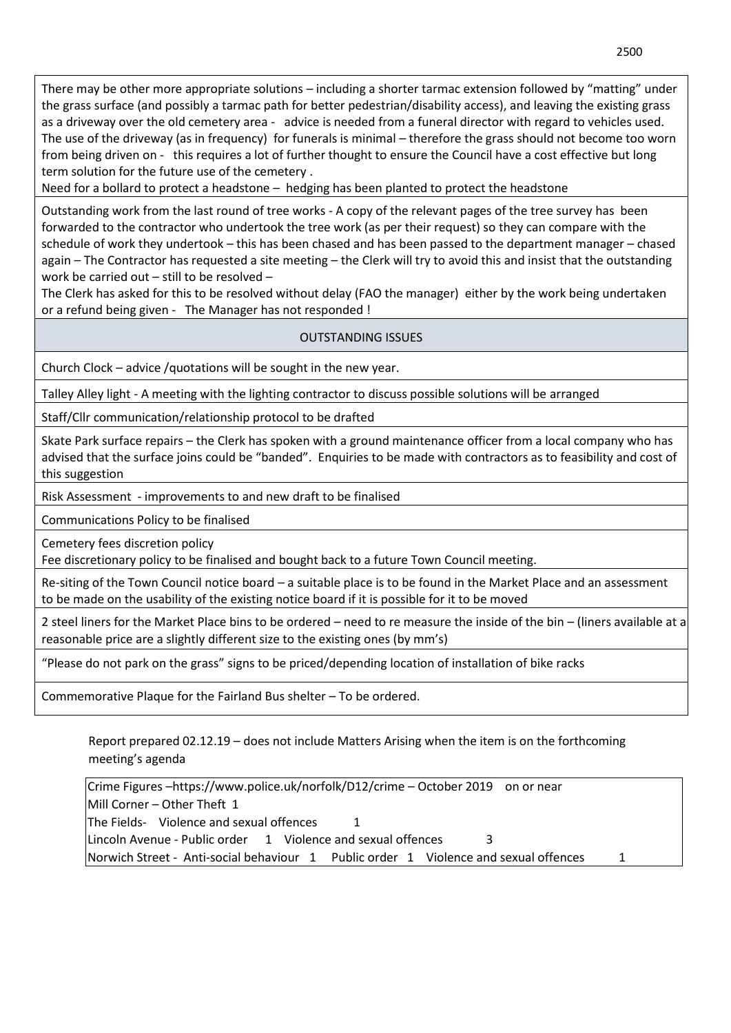There may be other more appropriate solutions – including a shorter tarmac extension followed by "matting" under the grass surface (and possibly a tarmac path for better pedestrian/disability access), and leaving the existing grass as a driveway over the old cemetery area - advice is needed from a funeral director with regard to vehicles used. The use of the driveway (as in frequency) for funerals is minimal – therefore the grass should not become too worn from being driven on - this requires a lot of further thought to ensure the Council have a cost effective but long term solution for the future use of the cemetery .

Need for a bollard to protect a headstone – hedging has been planted to protect the headstone

Outstanding work from the last round of tree works - A copy of the relevant pages of the tree survey has been forwarded to the contractor who undertook the tree work (as per their request) so they can compare with the schedule of work they undertook – this has been chased and has been passed to the department manager – chased again – The Contractor has requested a site meeting – the Clerk will try to avoid this and insist that the outstanding work be carried out – still to be resolved –

The Clerk has asked for this to be resolved without delay (FAO the manager) either by the work being undertaken or a refund being given - The Manager has not responded !

# OUTSTANDING ISSUES

Church Clock – advice /quotations will be sought in the new year.

Talley Alley light - A meeting with the lighting contractor to discuss possible solutions will be arranged

Staff/Cllr communication/relationship protocol to be drafted

Skate Park surface repairs – the Clerk has spoken with a ground maintenance officer from a local company who has advised that the surface joins could be "banded". Enquiries to be made with contractors as to feasibility and cost of this suggestion

Risk Assessment - improvements to and new draft to be finalised

Communications Policy to be finalised

Cemetery fees discretion policy

Fee discretionary policy to be finalised and bought back to a future Town Council meeting.

Re-siting of the Town Council notice board – a suitable place is to be found in the Market Place and an assessment to be made on the usability of the existing notice board if it is possible for it to be moved

2 steel liners for the Market Place bins to be ordered – need to re measure the inside of the bin – (liners available at a reasonable price are a slightly different size to the existing ones (by mm's)

"Please do not park on the grass" signs to be priced/depending location of installation of bike racks

Commemorative Plaque for the Fairland Bus shelter – To be ordered.

Report prepared 02.12.19 – does not include Matters Arising when the item is on the forthcoming meeting's agenda

Crime Figures –https://www.police.uk/norfolk/D12/crime – October 2019 on or near Mill Corner – Other Theft 1 The Fields- Violence and sexual offences 1 Lincoln Avenue - Public order 1 Violence and sexual offences 3 Norwich Street - Anti-social behaviour 1 Public order 1 Violence and sexual offences 1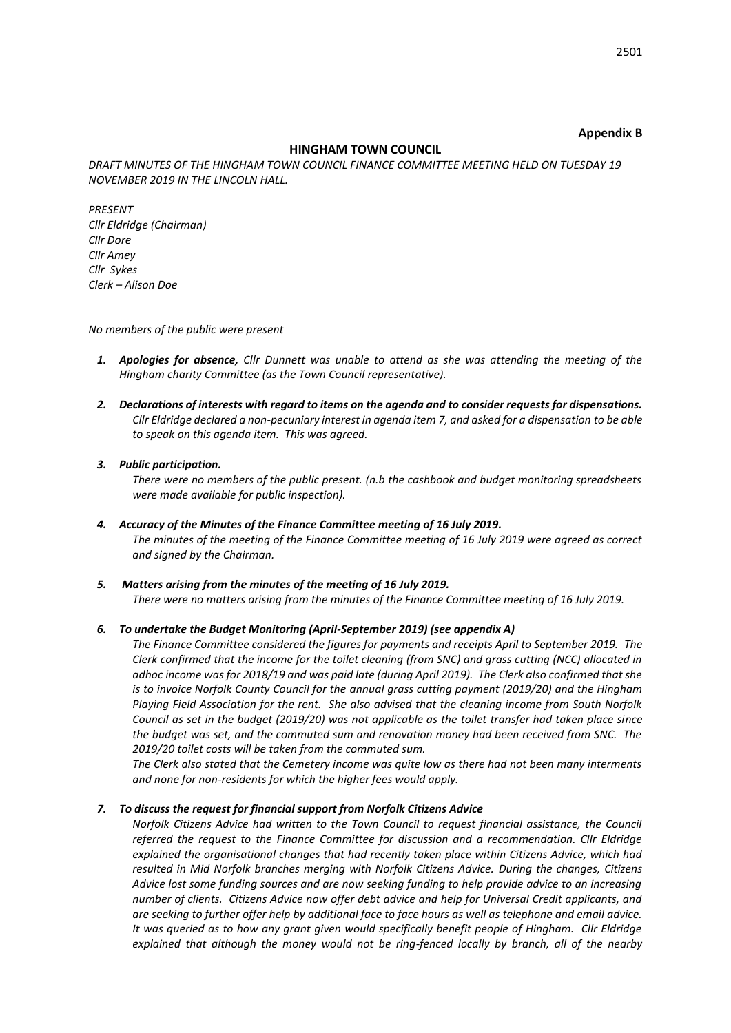#### **Appendix B**

#### **HINGHAM TOWN COUNCIL**

*DRAFT MINUTES OF THE HINGHAM TOWN COUNCIL FINANCE COMMITTEE MEETING HELD ON TUESDAY 19 NOVEMBER 2019 IN THE LINCOLN HALL.* 

*PRESENT Cllr Eldridge (Chairman) Cllr Dore Cllr Amey Cllr Sykes Clerk – Alison Doe*

*No members of the public were present*

- *1. Apologies for absence, Cllr Dunnett was unable to attend as she was attending the meeting of the Hingham charity Committee (as the Town Council representative).*
- *2. Declarations of interests with regard to items on the agenda and to consider requests for dispensations. Cllr Eldridge declared a non-pecuniary interest in agenda item 7, and asked for a dispensation to be able to speak on this agenda item. This was agreed.*

#### *3. Public participation.*

*There were no members of the public present. (n.b the cashbook and budget monitoring spreadsheets were made available for public inspection).*

- *4. Accuracy of the Minutes of the Finance Committee meeting of 16 July 2019. The minutes of the meeting of the Finance Committee meeting of 16 July 2019 were agreed as correct and signed by the Chairman.*
- *5. Matters arising from the minutes of the meeting of 16 July 2019. There were no matters arising from the minutes of the Finance Committee meeting of 16 July 2019.*

#### *6. To undertake the Budget Monitoring (April-September 2019) (see appendix A)*

*The Finance Committee considered the figures for payments and receipts April to September 2019. The Clerk confirmed that the income for the toilet cleaning (from SNC) and grass cutting (NCC) allocated in adhoc income was for 2018/19 and was paid late (during April 2019). The Clerk also confirmed that she is to invoice Norfolk County Council for the annual grass cutting payment (2019/20) and the Hingham Playing Field Association for the rent. She also advised that the cleaning income from South Norfolk Council as set in the budget (2019/20) was not applicable as the toilet transfer had taken place since the budget was set, and the commuted sum and renovation money had been received from SNC. The 2019/20 toilet costs will be taken from the commuted sum.*

*The Clerk also stated that the Cemetery income was quite low as there had not been many interments and none for non-residents for which the higher fees would apply.* 

#### *7. To discuss the request for financial support from Norfolk Citizens Advice*

*Norfolk Citizens Advice had written to the Town Council to request financial assistance, the Council referred the request to the Finance Committee for discussion and a recommendation. Cllr Eldridge explained the organisational changes that had recently taken place within Citizens Advice, which had resulted in Mid Norfolk branches merging with Norfolk Citizens Advice. During the changes, Citizens Advice lost some funding sources and are now seeking funding to help provide advice to an increasing number of clients. Citizens Advice now offer debt advice and help for Universal Credit applicants, and are seeking to further offer help by additional face to face hours as well as telephone and email advice. It was queried as to how any grant given would specifically benefit people of Hingham. Cllr Eldridge explained that although the money would not be ring-fenced locally by branch, all of the nearby*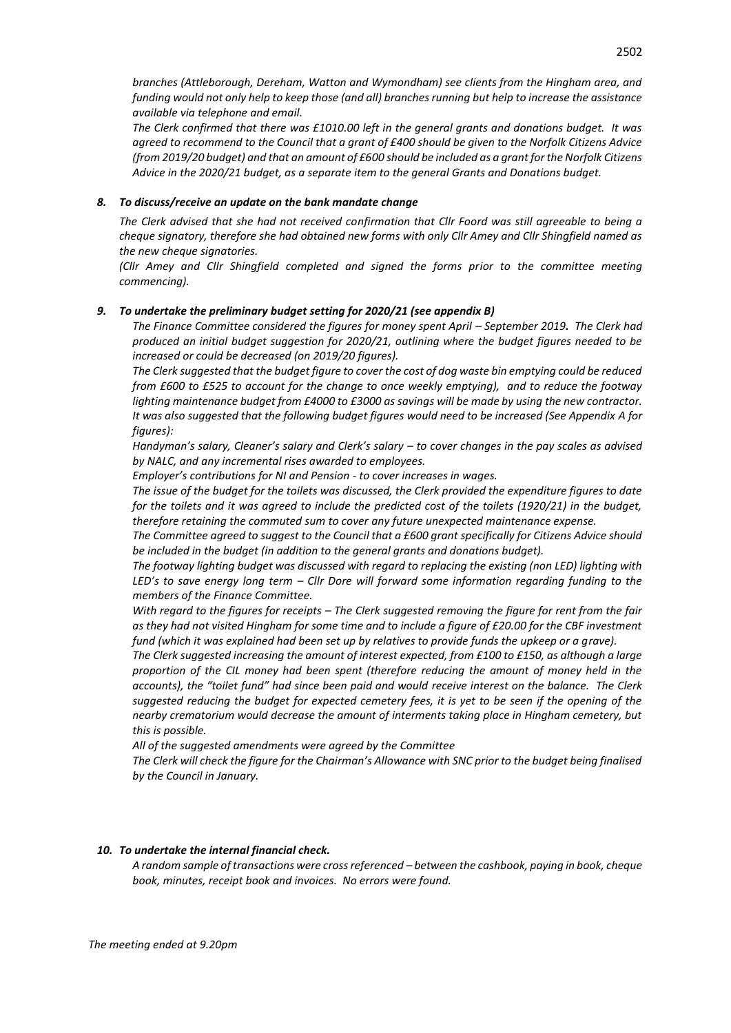*branches (Attleborough, Dereham, Watton and Wymondham) see clients from the Hingham area, and funding would not only help to keep those (and all) branches running but help to increase the assistance available via telephone and email.* 

*The Clerk confirmed that there was £1010.00 left in the general grants and donations budget. It was agreed to recommend to the Council that a grant of £400 should be given to the Norfolk Citizens Advice (from 2019/20 budget) and that an amount of £600 should be included as a grant for the Norfolk Citizens Advice in the 2020/21 budget, as a separate item to the general Grants and Donations budget.*

#### *8. To discuss/receive an update on the bank mandate change*

*The Clerk advised that she had not received confirmation that Cllr Foord was still agreeable to being a cheque signatory, therefore she had obtained new forms with only Cllr Amey and Cllr Shingfield named as the new cheque signatories.* 

*(Cllr Amey and Cllr Shingfield completed and signed the forms prior to the committee meeting commencing).*

#### *9. To undertake the preliminary budget setting for 2020/21 (see appendix B)*

*The Finance Committee considered the figures for money spent April – September 2019. The Clerk had produced an initial budget suggestion for 2020/21, outlining where the budget figures needed to be increased or could be decreased (on 2019/20 figures).*

*The Clerk suggested that the budget figure to cover the cost of dog waste bin emptying could be reduced from £600 to £525 to account for the change to once weekly emptying), and to reduce the footway lighting maintenance budget from £4000 to £3000 as savings will be made by using the new contractor. It was also suggested that the following budget figures would need to be increased (See Appendix A for figures):*

*Handyman's salary, Cleaner's salary and Clerk's salary – to cover changes in the pay scales as advised by NALC, and any incremental rises awarded to employees.*

*Employer's contributions for NI and Pension - to cover increases in wages.*

*The issue of the budget for the toilets was discussed, the Clerk provided the expenditure figures to date for the toilets and it was agreed to include the predicted cost of the toilets (1920/21) in the budget, therefore retaining the commuted sum to cover any future unexpected maintenance expense.*

*The Committee agreed to suggest to the Council that a £600 grant specifically for Citizens Advice should be included in the budget (in addition to the general grants and donations budget).*

*The footway lighting budget was discussed with regard to replacing the existing (non LED) lighting with LED's to save energy long term – Cllr Dore will forward some information regarding funding to the members of the Finance Committee.*

*With regard to the figures for receipts – The Clerk suggested removing the figure for rent from the fair as they had not visited Hingham for some time and to include a figure of £20.00 for the CBF investment fund (which it was explained had been set up by relatives to provide funds the upkeep or a grave).*

*The Clerk suggested increasing the amount of interest expected, from £100 to £150, as although a large proportion of the CIL money had been spent (therefore reducing the amount of money held in the accounts), the "toilet fund" had since been paid and would receive interest on the balance. The Clerk suggested reducing the budget for expected cemetery fees, it is yet to be seen if the opening of the nearby crematorium would decrease the amount of interments taking place in Hingham cemetery, but this is possible.* 

*All of the suggested amendments were agreed by the Committee*

*The Clerk will check the figure for the Chairman's Allowance with SNC prior to the budget being finalised by the Council in January.*

#### *10. To undertake the internal financial check.*

*A random sample of transactions were cross referenced – between the cashbook, paying in book, cheque book, minutes, receipt book and invoices. No errors were found.*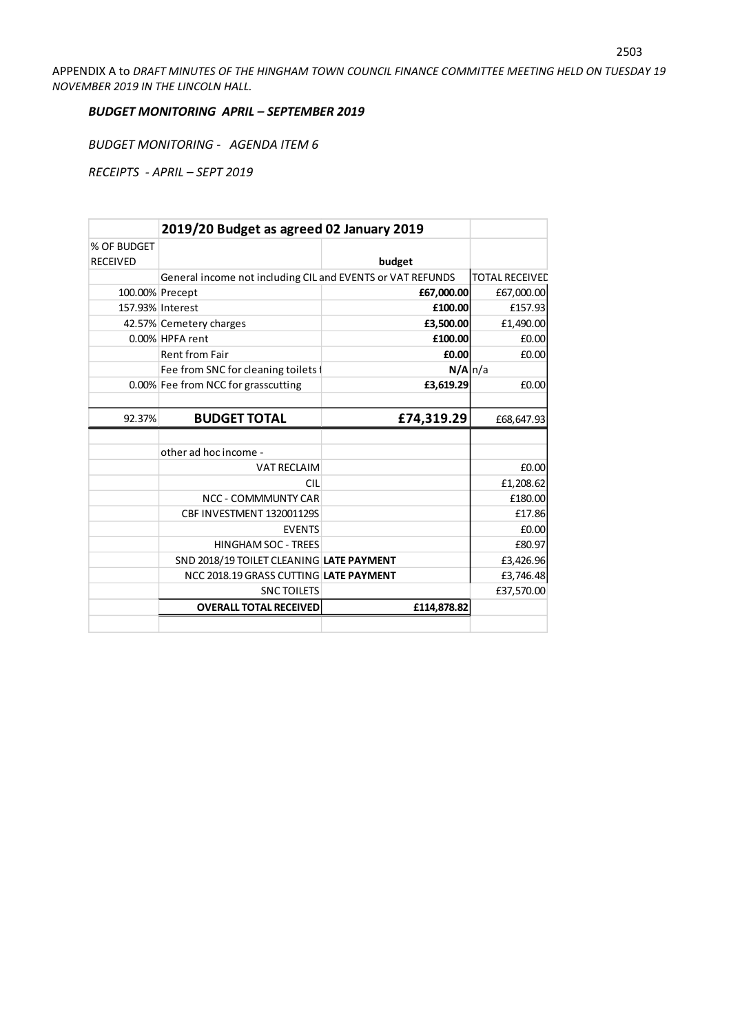APPENDIX A to *DRAFT MINUTES OF THE HINGHAM TOWN COUNCIL FINANCE COMMITTEE MEETING HELD ON TUESDAY 19 NOVEMBER 2019 IN THE LINCOLN HALL.* 

## *BUDGET MONITORING APRIL – SEPTEMBER 2019*

*BUDGET MONITORING - AGENDA ITEM 6*

*RECEIPTS - APRIL – SEPT 2019*

|                 | 2019/20 Budget as agreed 02 January 2019                   |                |                       |
|-----------------|------------------------------------------------------------|----------------|-----------------------|
| % OF BUDGET     |                                                            |                |                       |
| <b>RECEIVED</b> |                                                            | budget         |                       |
|                 | General income not including CIL and EVENTS or VAT REFUNDS |                | <b>TOTAL RECEIVED</b> |
| 100.00% Precept |                                                            | £67,000.00     | £67,000.00            |
|                 | 157.93% Interest                                           | £100.00        | £157.93               |
|                 | 42.57% Cemetery charges                                    | £3,500.00      | £1,490.00             |
|                 | 0.00% HPFA rent                                            | £100.00        | £0.00                 |
|                 | <b>Rent from Fair</b>                                      | £0.00          | £0.00                 |
|                 | Fee from SNC for cleaning toilets f                        | $N/A \mid n/a$ |                       |
|                 | 0.00% Fee from NCC for grasscutting                        | £3,619.29      | £0.00                 |
|                 |                                                            |                |                       |
| 92.37%          | <b>BUDGET TOTAL</b>                                        | £74,319.29     | £68,647.93            |
|                 |                                                            |                |                       |
|                 |                                                            |                |                       |
|                 | other ad hoc income -                                      |                |                       |
|                 | <b>VAT RECLAIM</b>                                         |                | £0.00                 |
|                 | <b>CIL</b>                                                 |                | £1,208.62             |
|                 | <b>NCC - COMMMUNTY CAR</b>                                 |                | £180.00               |
|                 | CBF INVESTMENT 132001129S                                  |                | £17.86                |
|                 | <b>EVENTS</b>                                              |                | £0.00                 |
|                 | <b>HINGHAM SOC - TREES</b>                                 |                | £80.97                |
|                 | SND 2018/19 TOILET CLEANING LATE PAYMENT                   |                | £3,426.96             |
|                 | NCC 2018.19 GRASS CUTTING LATE PAYMENT                     |                | £3,746.48             |
|                 | <b>SNC TOILETS</b>                                         |                | £37,570.00            |
|                 | <b>OVERALL TOTAL RECEIVED</b>                              | £114,878.82    |                       |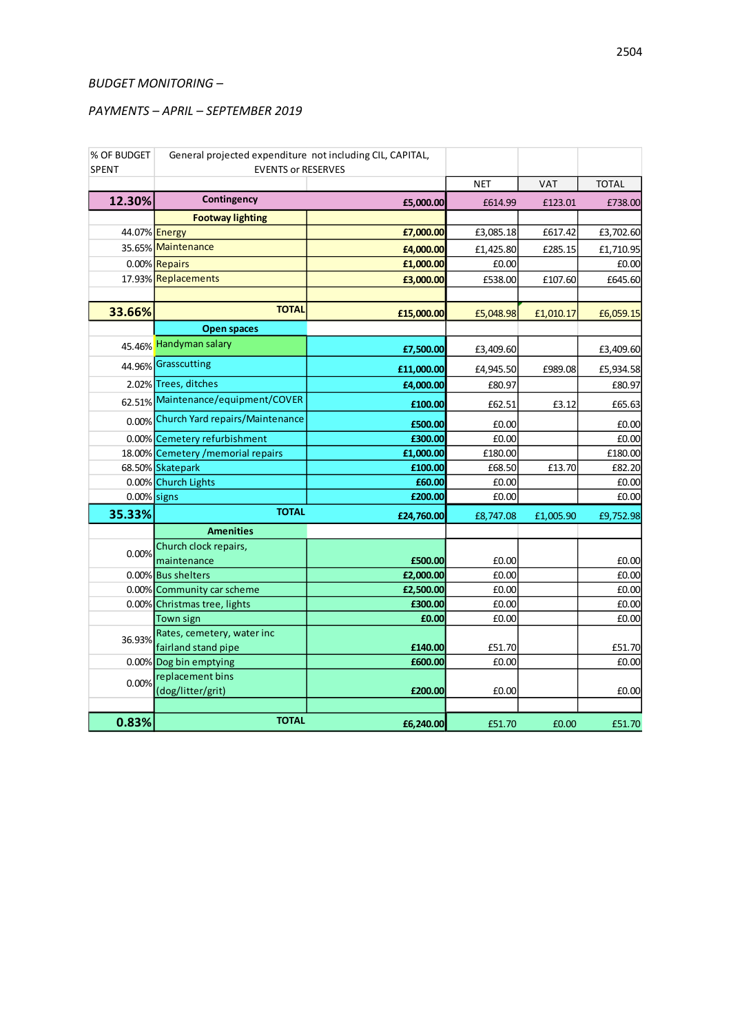## *BUDGET MONITORING –*

## *PAYMENTS – APRIL – SEPTEMBER 2019*

| % OF BUDGET<br><b>SPENT</b> | General projected expenditure not including CIL, CAPITAL,<br><b>EVENTS or RESERVES</b> |            |            |            |              |
|-----------------------------|----------------------------------------------------------------------------------------|------------|------------|------------|--------------|
|                             |                                                                                        |            | <b>NET</b> | <b>VAT</b> | <b>TOTAL</b> |
| 12.30%                      | Contingency                                                                            | £5,000.00  | £614.99    | £123.01    | £738.00      |
|                             | <b>Footway lighting</b>                                                                |            |            |            |              |
| 44.07% <b>Energy</b>        |                                                                                        | £7,000.00  | £3,085.18  | £617.42    | £3,702.60    |
|                             | 35.65% Maintenance                                                                     | £4,000.00  | £1,425.80  | £285.15    | £1,710.95    |
|                             | 0.00% Repairs                                                                          | £1,000.00  | £0.00      |            | £0.00        |
|                             | 17.93% Replacements                                                                    | £3,000.00  | £538.00    | £107.60    | £645.60      |
|                             |                                                                                        |            |            |            |              |
| 33.66%                      | <b>TOTAL</b>                                                                           | £15,000.00 | £5,048.98  | £1,010.17  | £6,059.15    |
|                             | <b>Open spaces</b>                                                                     |            |            |            |              |
|                             | 45.46% Handyman salary                                                                 | £7,500.00  | £3,409.60  |            | £3,409.60    |
|                             | 44.96% Grasscutting                                                                    | £11,000.00 | £4,945.50  | £989.08    | £5,934.58    |
|                             | 2.02% Trees, ditches                                                                   | £4,000.00  | £80.97     |            | £80.97       |
|                             | 62.51% Maintenance/equipment/COVER                                                     | £100.00    | £62.51     | £3.12      | £65.63       |
|                             | 0.00% Church Yard repairs/Maintenance                                                  | £500.00    | £0.00      |            | £0.00        |
|                             | 0.00% Cemetery refurbishment                                                           | £300.00    | £0.00      |            | £0.00        |
|                             | 18.00% Cemetery / memorial repairs                                                     | £1,000.00  | £180.00    |            | £180.00      |
|                             | 68.50% Skatepark                                                                       | £100.00    | £68.50     | £13.70     | £82.20       |
|                             | 0.00% Church Lights                                                                    | £60.00     | £0.00      |            | £0.00        |
| $0.00\%$ signs              |                                                                                        | £200.00    | £0.00      |            | £0.00        |
| 35.33%                      | <b>TOTAL</b>                                                                           | £24,760.00 | £8,747.08  | £1,005.90  | £9,752.98    |
|                             | <b>Amenities</b>                                                                       |            |            |            |              |
| 0.00%                       | Church clock repairs,                                                                  |            |            |            |              |
|                             | maintenance                                                                            | £500.00    | £0.00      |            | £0.00        |
|                             | 0.00% Bus shelters                                                                     | £2,000.00  | £0.00      |            | £0.00        |
|                             | 0.00% Community car scheme                                                             | £2,500.00  | £0.00      |            | £0.00        |
|                             | 0.00% Christmas tree, lights                                                           | £300.00    | £0.00      |            | £0.00        |
|                             | Town sign<br>Rates, cemetery, water inc                                                | £0.00      | £0.00      |            | £0.00        |
| 36.93%                      | fairland stand pipe                                                                    | £140.00    | £51.70     |            | £51.70       |
|                             | 0.00% Dog bin emptying                                                                 | £600.00    | £0.00      |            | £0.00        |
|                             | replacement bins                                                                       |            |            |            |              |
| 0.00%                       | (dog/litter/grit)                                                                      | £200.00    | £0.00      |            | £0.00        |
|                             |                                                                                        |            |            |            |              |
| 0.83%                       | <b>TOTAL</b>                                                                           | £6,240.00  | £51.70     | £0.00      | £51.70       |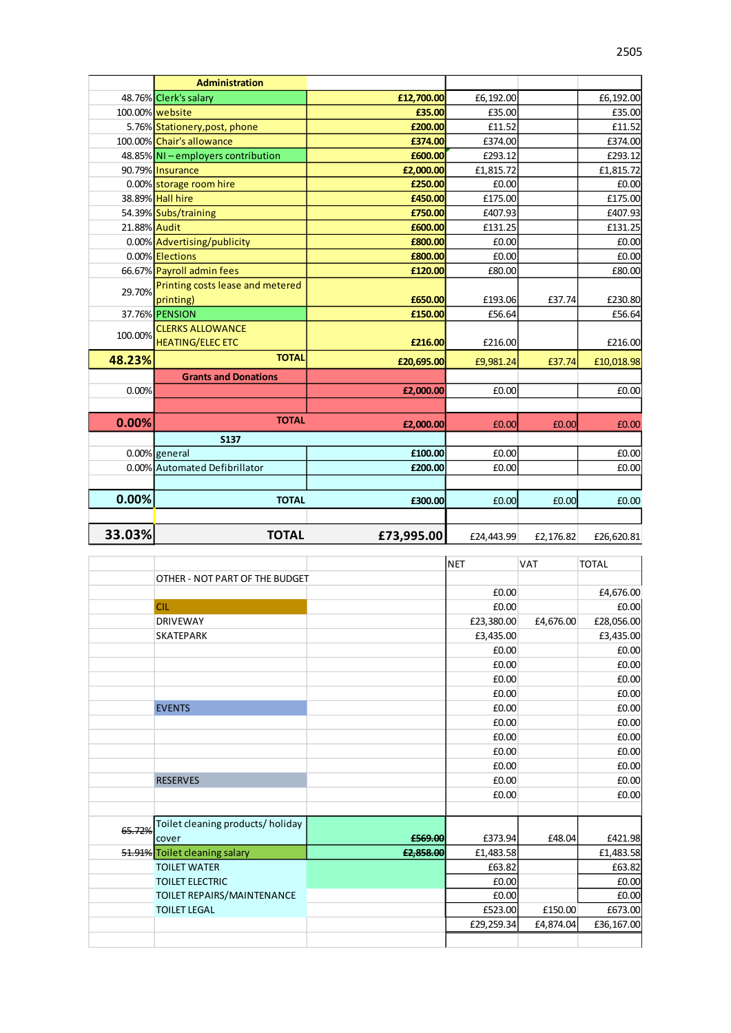|              | <b>Administration</b>              |            |            |           |            |
|--------------|------------------------------------|------------|------------|-----------|------------|
|              | 48.76% Clerk's salary              | £12,700.00 | £6,192.00  |           | £6,192.00  |
|              | 100.00% website                    | £35.00     | £35.00     |           | £35.00     |
|              | 5.76% Stationery, post, phone      | £200.00    | £11.52     |           | £11.52     |
|              | 100.00% Chair's allowance          | £374.00    | £374.00    |           | £374.00    |
|              | 48.85% NI - employers contribution | £600.00    | £293.12    |           | £293.12    |
|              | 90.79% Insurance                   | £2,000.00  | £1,815.72  |           | £1,815.72  |
|              | 0.00% storage room hire            | £250.00    | £0.00      |           | £0.00      |
|              | 38.89% Hall hire                   | £450.00    | £175.00    |           | £175.00    |
|              | 54.39% Subs/training               | £750.00    | £407.93    |           | £407.93    |
| 21.88% Audit |                                    | £600.00    | £131.25    |           | £131.25    |
|              | 0.00% Advertising/publicity        | £800.00    | £0.00      |           | £0.00      |
|              | 0.00% Elections                    | £800.00    | £0.00      |           | £0.00      |
|              | 66.67% Payroll admin fees          | £120.00    | £80.00     |           | £80.00     |
| 29.70%       | Printing costs lease and metered   |            |            |           |            |
|              | printing)                          | £650.00    | £193.06    | £37.74    | £230.80    |
|              | 37.76% PENSION                     | £150.00    | £56.64     |           | £56.64     |
|              | <b>CLERKS ALLOWANCE</b>            |            |            |           |            |
| 100.00%      | <b>HEATING/ELEC ETC</b>            | £216.00    | £216.00    |           | £216.00    |
| 48.23%       | <b>TOTAL</b>                       | £20,695.00 | £9,981.24  | £37.74    | £10,018.98 |
|              | <b>Grants and Donations</b>        |            |            |           |            |
| 0.00%        |                                    | £2,000.00  | £0.00      |           | £0.00      |
|              |                                    |            |            |           |            |
| 0.00%        | <b>TOTAL</b>                       | £2,000.00  | £0.00      | £0.00     | £0.00      |
|              | <b>S137</b>                        |            |            |           |            |
|              | 0.00% general                      | £100.00    | £0.00      |           | £0.00      |
|              | 0.00% Automated Defibrillator      | £200.00    | £0.00      |           | £0.00      |
|              |                                    |            |            |           |            |
| 0.00%        | <b>TOTAL</b>                       |            |            |           |            |
|              |                                    | £300.00    | £0.00      | £0.00     | £0.00      |
|              |                                    |            |            |           |            |
| 33.03%       | <b>TOTAL</b>                       | £73,995.00 | £24,443.99 | £2,176.82 | £26,620.81 |

|        |                                   |           | <b>NET</b> | <b>VAT</b> | <b>TOTAL</b> |
|--------|-----------------------------------|-----------|------------|------------|--------------|
|        | OTHER - NOT PART OF THE BUDGET    |           |            |            |              |
|        |                                   |           | £0.00      |            | £4,676.00    |
|        | <b>CIL</b>                        |           | £0.00      |            | £0.00        |
|        | <b>DRIVEWAY</b>                   |           | £23,380.00 | £4,676.00  | £28,056.00   |
|        | <b>SKATEPARK</b>                  |           | £3,435.00  |            | £3,435.00    |
|        |                                   |           | £0.00      |            | £0.00        |
|        |                                   |           | £0.00      |            | £0.00        |
|        |                                   |           | £0.00      |            | £0.00        |
|        |                                   |           | £0.00      |            | £0.00        |
|        | <b>EVENTS</b>                     |           | £0.00      |            | £0.00        |
|        |                                   |           | £0.00      |            | £0.00        |
|        |                                   |           | £0.00      |            | £0.00        |
|        |                                   |           | £0.00      |            | £0.00        |
|        |                                   |           | £0.00      |            | £0.00        |
|        | <b>RESERVES</b>                   |           | £0.00      |            | £0.00        |
|        |                                   |           | £0.00      |            | £0.00        |
|        |                                   |           |            |            |              |
| 65.72% | Toilet cleaning products/ holiday |           |            |            |              |
|        | cover                             | £569.00   | £373.94    | £48.04     | £421.98      |
|        | 51.91% Toilet cleaning salary     | £2,858.00 | £1,483.58  |            | £1,483.58    |
|        | <b>TOILET WATER</b>               |           | £63.82     |            | £63.82       |
|        | <b>TOILET ELECTRIC</b>            |           | £0.00      |            | £0.00        |
|        | TOILET REPAIRS/MAINTENANCE        |           | £0.00      |            | £0.00        |
|        | <b>TOILET LEGAL</b>               |           | £523.00    | £150.00    | £673.00      |
|        |                                   |           | £29,259.34 | £4,874.04  | £36,167.00   |
|        |                                   |           |            |            |              |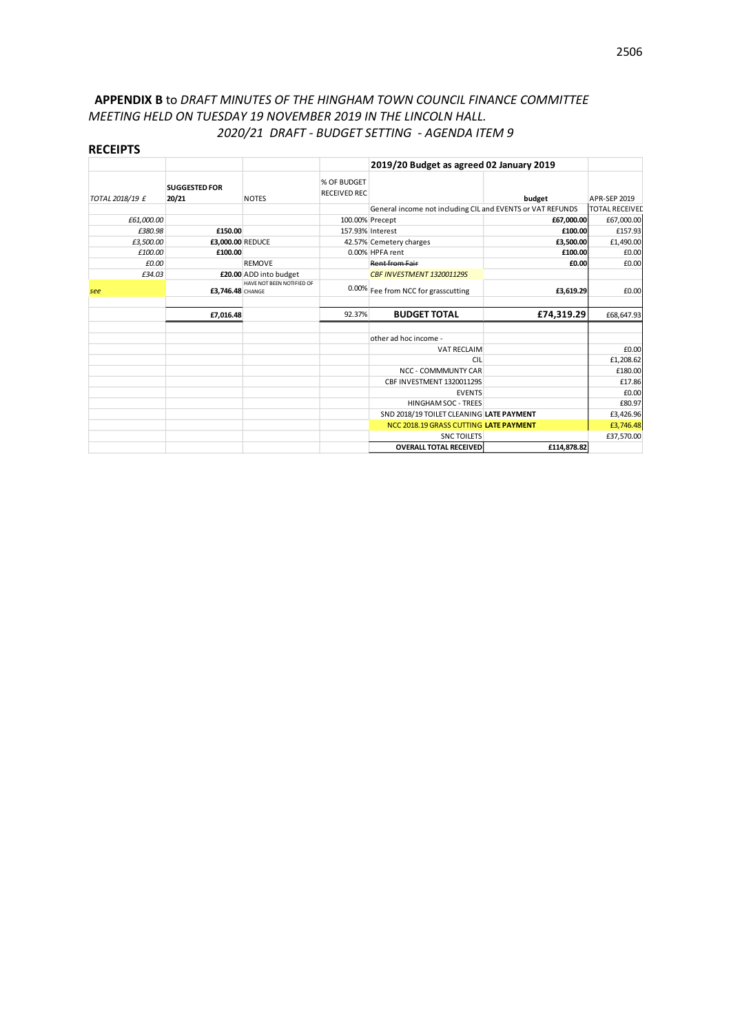# **APPENDIX B** to *DRAFT MINUTES OF THE HINGHAM TOWN COUNCIL FINANCE COMMITTEE MEETING HELD ON TUESDAY 19 NOVEMBER 2019 IN THE LINCOLN HALL. 2020/21 DRAFT - BUDGET SETTING - AGENDA ITEM 9*

#### **RECEIPTS**

|                 |                               |                           |                                    | 2019/20 Budget as agreed 02 January 2019                   |             |                       |
|-----------------|-------------------------------|---------------------------|------------------------------------|------------------------------------------------------------|-------------|-----------------------|
| TOTAL 2018/19 £ | <b>SUGGESTED FOR</b><br>20/21 | <b>NOTES</b>              | % OF BUDGET<br><b>RECEIVED REC</b> |                                                            | budget      | <b>APR-SEP 2019</b>   |
|                 |                               |                           |                                    | General income not including CIL and EVENTS or VAT REFUNDS |             | <b>TOTAL RECEIVED</b> |
| £61,000.00      |                               |                           |                                    | 100.00% Precept                                            | £67,000.00  | £67,000.00            |
| £380.98         | £150.00                       |                           |                                    | 157.93% Interest                                           | £100.00     | £157.93               |
| £3,500.00       | £3,000.00 REDUCE              |                           |                                    | 42.57% Cemetery charges                                    | £3,500.00   | £1,490.00             |
| £100.00         | £100.00                       |                           |                                    | 0.00% HPFA rent                                            | £100.00     | £0.00                 |
| £0.00           |                               | <b>REMOVE</b>             |                                    | Rent from Fair                                             | £0.00       | £0.00                 |
| £34.03          |                               | £20.00 ADD into budget    |                                    | CBF INVESTMENT 132001129S                                  |             |                       |
| see             | £3.746.48 CHANGE              | HAVE NOT BEEN NOTIFIED OF |                                    | 0.00% Fee from NCC for grasscutting                        | £3,619.29   | £0.00                 |
|                 | £7,016.48                     |                           | 92.37%                             | <b>BUDGET TOTAL</b>                                        | £74,319.29  | £68,647.93            |
|                 |                               |                           |                                    |                                                            |             |                       |
|                 |                               |                           |                                    | other ad hoc income -                                      |             |                       |
|                 |                               |                           |                                    | <b>VAT RECLAIM</b>                                         |             | £0.00                 |
|                 |                               |                           |                                    | <b>CIL</b>                                                 |             | £1,208.62             |
|                 |                               |                           |                                    | NCC - COMMMUNTY CAR                                        |             | £180.00               |
|                 |                               |                           |                                    | CBF INVESTMENT 132001129S                                  |             | £17.86                |
|                 |                               |                           |                                    | <b>EVENTS</b>                                              |             | £0.00                 |
|                 |                               |                           |                                    | HINGHAM SOC - TREES                                        |             | £80.97                |
|                 |                               |                           |                                    | SND 2018/19 TOILET CLEANING LATE PAYMENT                   |             | £3,426.96             |
|                 |                               |                           |                                    | NCC 2018.19 GRASS CUTTING LATE PAYMENT                     |             | £3,746.48             |
|                 |                               |                           |                                    | <b>SNC TOILETS</b>                                         |             | £37,570.00            |
|                 |                               |                           |                                    | <b>OVERALL TOTAL RECEIVED</b>                              | £114,878.82 |                       |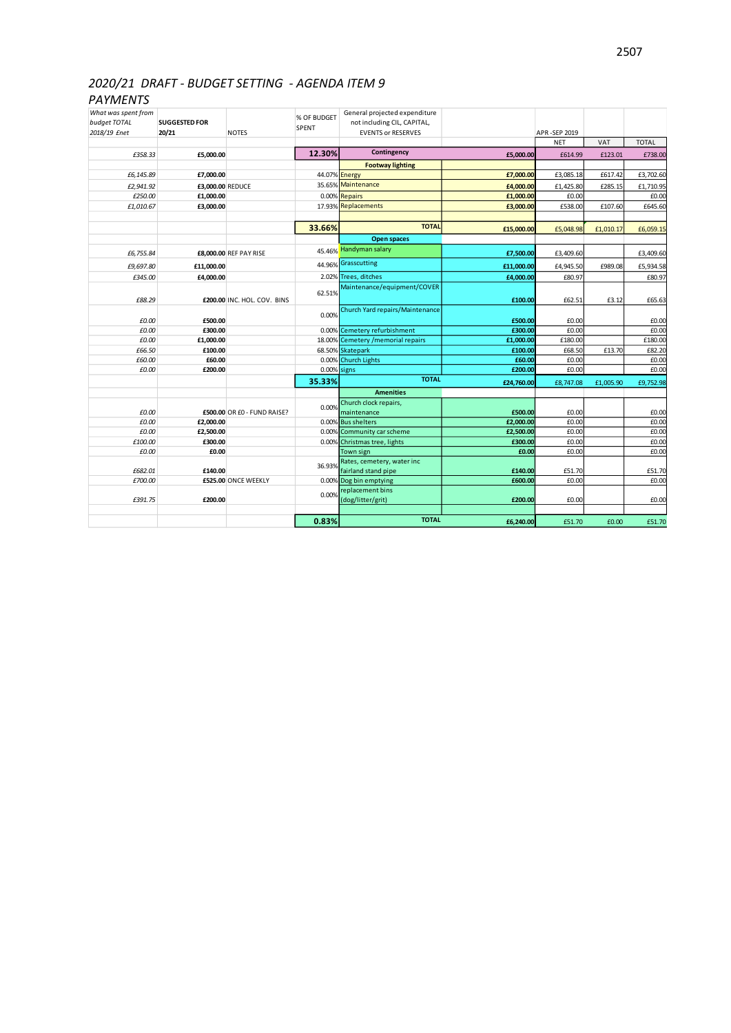# *2020/21 DRAFT - BUDGET SETTING - AGENDA ITEM 9*

# *PAYMENTS*

| What was spent from |                      |                             | % OF BUDGET    | General projected expenditure              |            |              |           |              |
|---------------------|----------------------|-----------------------------|----------------|--------------------------------------------|------------|--------------|-----------|--------------|
| budget TOTAL        | <b>SUGGESTED FOR</b> |                             | SPENT          | not including CIL, CAPITAL,                |            |              |           |              |
| 2018/19 £net        | 20/21                | <b>NOTES</b>                |                | <b>EVENTS or RESERVES</b>                  |            | APR-SEP 2019 |           |              |
|                     |                      |                             |                |                                            |            | <b>NET</b>   | VAT       | <b>TOTAL</b> |
| £358.33             | £5,000.00            |                             | 12.30%         | Contingency                                | £5,000.00  | £614.99      | £123.01   | £738.00      |
|                     |                      |                             |                | <b>Footway lighting</b>                    |            |              |           |              |
| £6,145.89           | £7,000.00            |                             | 44.07% Energy  |                                            | £7,000.00  | £3,085.18    | £617.42   | £3,702.60    |
| £2,941.92           | £3,000.00 REDUCE     |                             |                | 35.65% Maintenance                         | £4,000.00  | £1,425.80    | £285.15   | £1,710.95    |
| £250.00             | £1,000.00            |                             |                | 0.00% Repairs                              | £1,000.00  | £0.00        |           | £0.00        |
| £1,010.67           | £3,000.00            |                             |                | 17.93% Replacements                        | £3,000.00  | £538.00      | £107.60   | £645.60      |
|                     |                      |                             |                |                                            |            |              |           |              |
|                     |                      |                             | 33.66%         | <b>TOTAL</b>                               | £15,000.00 | £5,048.98    | £1,010.17 | £6,059.15    |
|                     |                      |                             |                | <b>Open spaces</b>                         |            |              |           |              |
| £6,755.84           |                      | £8,000.00 REF PAY RISE      |                | 45.46% Handyman salary                     | £7,500.00  | £3,409.60    |           | £3,409.60    |
| £9,697.80           |                      |                             | 44.96%         | Grasscutting                               |            |              | £989.08   | £5,934.58    |
|                     | £11,000.00           |                             |                | 2.02% Trees, ditches                       | £11,000.00 | £4,945.50    |           |              |
| £345.00             | £4,000.00            |                             |                | Maintenance/equipment/COVER                | £4,000.00  | £80.97       |           | £80.97       |
|                     |                      |                             | 62.51%         |                                            |            |              |           |              |
| £88.29              |                      | £200.00 INC. HOL. COV. BINS |                |                                            | £100.00    | £62.51       | £3.12     | £65.63       |
|                     |                      |                             | 0.00%          | Church Yard repairs/Maintenance            |            |              |           |              |
| £0.00               | £500.00              |                             |                |                                            | £500.00    | £0.00        |           | £0.00        |
| £0.00               | £300.00              |                             |                | 0.00% Cemetery refurbishment               | £300.00    | £0.00        |           | £0.00        |
| £0.00               | £1,000.00            |                             |                | 18.00% Cemetery / memorial repairs         | £1,000.00  | £180.00      |           | £180.00      |
| £66.50              | £100.00              |                             |                | 68.50% Skatepark                           | £100.00    | £68.50       | £13.70    | £82.20       |
| £60.00              | £60.00               |                             |                | 0.00% Church Lights                        | £60.00     | £0.00        |           | £0.00        |
| £0.00               | £200.00              |                             | $0.00\%$ signs |                                            | £200.00    | £0.00        |           | £0.00        |
|                     |                      |                             | 35.33%         | <b>TOTAL</b>                               | £24,760.00 | £8,747.08    | £1,005.90 | £9,752.98    |
|                     |                      |                             |                | <b>Amenities</b>                           |            |              |           |              |
|                     |                      |                             | 0.00%          | Church clock repairs,                      |            |              |           |              |
| £0.00               |                      | £500.00 OR £0 - FUND RAISE? |                | maintenance                                | £500.00    | £0.00        |           | £0.00        |
| £0.00               | £2,000.00            |                             |                | 0.00% Bus shelters                         | £2,000.00  | £0.00        |           | £0.00        |
| £0.00               | £2,500.00            |                             |                | 0.00% Community car scheme                 | £2,500.00  | £0.00        |           | £0.00        |
| £100.00             | £300.00              |                             |                | 0.00% Christmas tree, lights               | £300.00    | £0.00        |           | £0.00        |
| £0.00               | £0.00                |                             |                | Town sign                                  | £0.00      | £0.00        |           | £0.00        |
|                     |                      |                             | 36.93%         | Rates, cemetery, water inc                 |            |              |           |              |
| £682.01             | £140.00              |                             |                | fairland stand pipe                        | £140.00    | £51.70       |           | £51.70       |
| £700.00             |                      | £525.00 ONCE WEEKLY         |                | 0.00% Dog bin emptying<br>replacement bins | £600.00    | £0.00        |           | £0.00        |
|                     |                      |                             | 0.00%          |                                            |            |              |           |              |
| £391.75             | £200.00              |                             |                | (dog/litter/grit)                          | £200.00    | £0.00        |           | £0.00        |
|                     |                      |                             |                | <b>TOTAL</b>                               |            |              |           |              |
|                     |                      |                             | 0.83%          |                                            | £6,240.00  | £51.70       | £0.00     | £51.70       |